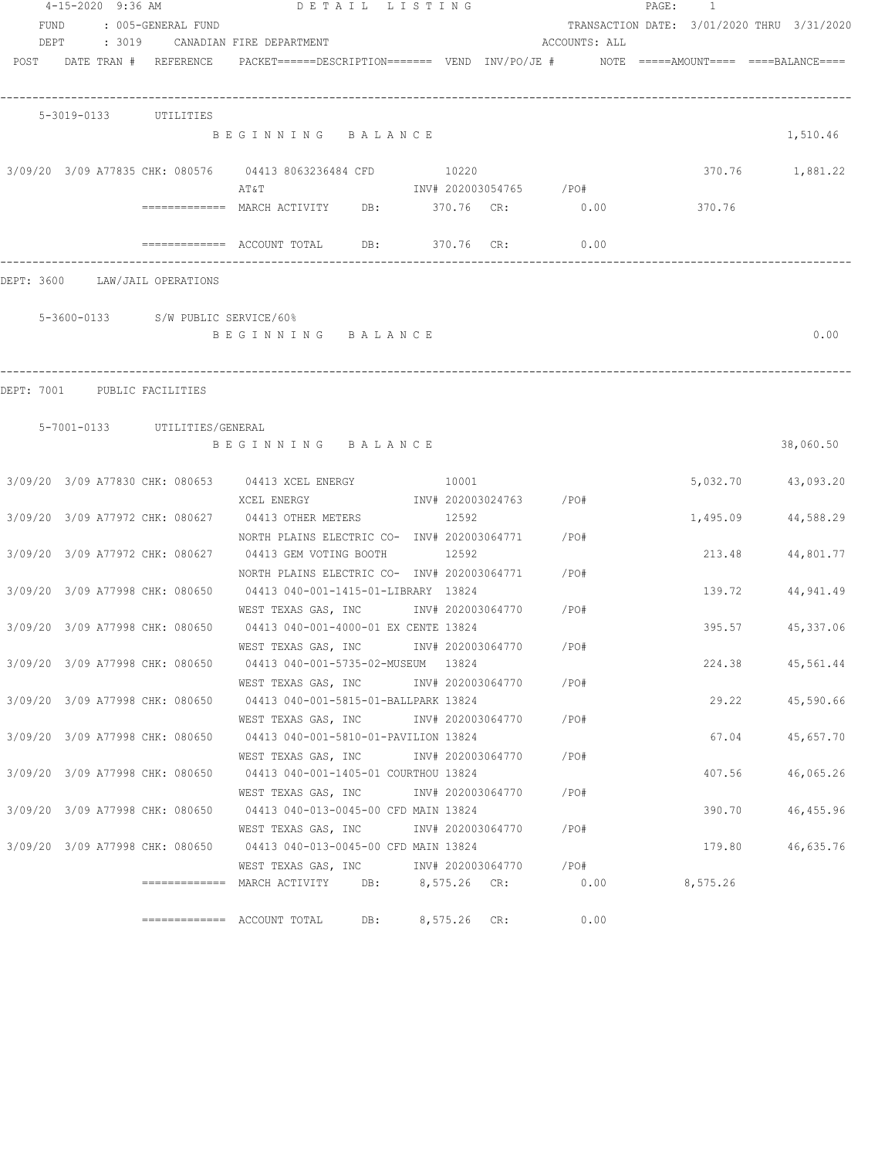|      | 4-15-2020 9:36 AM            |                                    | DETAIL LISTING                                                                                                |                        |               | PAGE:<br>1                                 |                    |
|------|------------------------------|------------------------------------|---------------------------------------------------------------------------------------------------------------|------------------------|---------------|--------------------------------------------|--------------------|
| FUND |                              | : 005-GENERAL FUND                 |                                                                                                               |                        |               | TRANSACTION DATE: 3/01/2020 THRU 3/31/2020 |                    |
| DEPT | : 3019                       |                                    | CANADIAN FIRE DEPARTMENT                                                                                      |                        | ACCOUNTS: ALL |                                            |                    |
|      |                              | POST DATE TRAN # REFERENCE         |                                                                                                               |                        |               |                                            |                    |
|      |                              |                                    |                                                                                                               |                        |               |                                            |                    |
|      | 5-3019-0133 UTILITIES        |                                    |                                                                                                               |                        |               |                                            |                    |
|      |                              |                                    | BEGINNING BALANCE                                                                                             |                        |               |                                            | 1,510.46           |
|      |                              |                                    | 3/09/20 3/09 A77835 CHK: 080576 04413 8063236484 CFD                                                          | 10220                  |               |                                            | 370.76 1,881.22    |
|      |                              |                                    | AT&T                                                                                                          | INV# 202003054765 /PO# |               |                                            |                    |
|      |                              |                                    | ============ MARCH ACTIVITY DB: 370.76 CR: 0.00                                                               |                        |               | 370.76                                     |                    |
|      |                              |                                    |                                                                                                               | 370.76 CR:             | 0.00          |                                            |                    |
|      |                              | DEPT: 3600 LAW/JAIL OPERATIONS     |                                                                                                               |                        |               |                                            |                    |
|      |                              |                                    |                                                                                                               |                        |               |                                            |                    |
|      |                              | 5-3600-0133 S/W PUBLIC SERVICE/60% |                                                                                                               |                        |               |                                            |                    |
|      |                              |                                    | BEGINNING BALANCE                                                                                             |                        |               |                                            | 0.00               |
|      |                              |                                    |                                                                                                               |                        |               |                                            |                    |
|      | DEPT: 7001 PUBLIC FACILITIES |                                    |                                                                                                               |                        |               |                                            |                    |
|      |                              | 5-7001-0133 UTILITIES/GENERAL      |                                                                                                               |                        |               |                                            |                    |
|      |                              |                                    | BEGINNING BALANCE                                                                                             |                        |               |                                            | 38,060.50          |
|      |                              |                                    |                                                                                                               |                        |               |                                            |                    |
|      |                              |                                    | 3/09/20 3/09 A77830 CHK: 080653 04413 XCEL ENERGY 10001                                                       |                        |               |                                            | 5,032.70 43,093.20 |
|      |                              |                                    | XCEL ENERGY                                                                                                   | INV# 202003024763 /PO# |               |                                            |                    |
|      |                              |                                    | 3/09/20 3/09 A77972 CHK: 080627 04413 OTHER METERS 12592<br>NORTH PLAINS ELECTRIC CO- INV# 202003064771 / PO# |                        |               | 1,495.09                                   | 44,588.29          |
|      |                              | 3/09/20 3/09 A77972 CHK: 080627    | 04413 GEM VOTING BOOTH                                                                                        | 12592                  |               | 213.48                                     | 44,801.77          |
|      |                              |                                    | NORTH PLAINS ELECTRIC CO- INV# 202003064771                                                                   |                        | /PO#          |                                            |                    |
|      |                              | 3/09/20 3/09 A77998 CHK: 080650    | 04413 040-001-1415-01-LIBRARY 13824                                                                           |                        |               | 139.72                                     | 44,941.49          |
|      |                              |                                    | WEST TEXAS GAS, INC MONTH 202003064770                                                                        |                        | /PO#          |                                            |                    |
|      |                              | 3/09/20 3/09 A77998 CHK: 080650    | 04413 040-001-4000-01 EX CENTE 13824                                                                          |                        |               | 395.57                                     | 45,337.06          |
|      |                              |                                    | WEST TEXAS GAS, INC MONTH 202003064770                                                                        |                        | /PO#          |                                            |                    |
|      |                              |                                    | 3/09/20 3/09 A77998 CHK: 080650 04413 040-001-5735-02-MUSEUM 13824                                            |                        |               | 224.38                                     | 45,561.44          |
|      |                              |                                    | WEST TEXAS GAS, INC                                                                                           | INV# 202003064770 /PO# |               |                                            |                    |
|      |                              |                                    | 3/09/20 3/09 A77998 CHK: 080650 04413 040-001-5815-01-BALLPARK 13824                                          |                        |               |                                            | 29.22 45,590.66    |
|      |                              |                                    | WEST TEXAS GAS, INC                                                                                           | INV# 202003064770 /PO# |               |                                            |                    |
|      |                              |                                    | 3/09/20 3/09 A77998 CHK: 080650 04413 040-001-5810-01-PAVILION 13824                                          |                        |               | 67.04                                      | 45,657.70          |
|      |                              |                                    | WEST TEXAS GAS, INC                                                                                           | INV# 202003064770      | / PO#         |                                            |                    |
|      |                              | 3/09/20 3/09 A77998 CHK: 080650    | 04413 040-001-1405-01 COURTHOU 13824                                                                          |                        |               | 407.56                                     | 46,065.26          |
|      |                              |                                    | WEST TEXAS GAS, INC                                                                                           | INV# 202003064770      | /PO#          |                                            |                    |
|      |                              | 3/09/20 3/09 A77998 CHK: 080650    | 04413 040-013-0045-00 CFD MAIN 13824                                                                          |                        |               | 390.70                                     | 46,455.96          |
|      |                              |                                    | WEST TEXAS GAS, INC 1NV# 202003064770                                                                         |                        | $/$ PO#       |                                            |                    |
|      |                              |                                    | 3/09/20 3/09 A77998 CHK: 080650 04413 040-013-0045-00 CFD MAIN 13824                                          |                        |               | 179.80                                     | 46,635.76          |
|      |                              |                                    | WEST TEXAS GAS, INC MONTH 202003064770 / PO#                                                                  |                        |               |                                            |                    |
|      |                              |                                    |                                                                                                               |                        |               | 8,575.26                                   |                    |
|      |                              |                                    | ============= ACCOUNT TOTAL<br>DB:                                                                            | 8,575.26 CR:           | 0.00          |                                            |                    |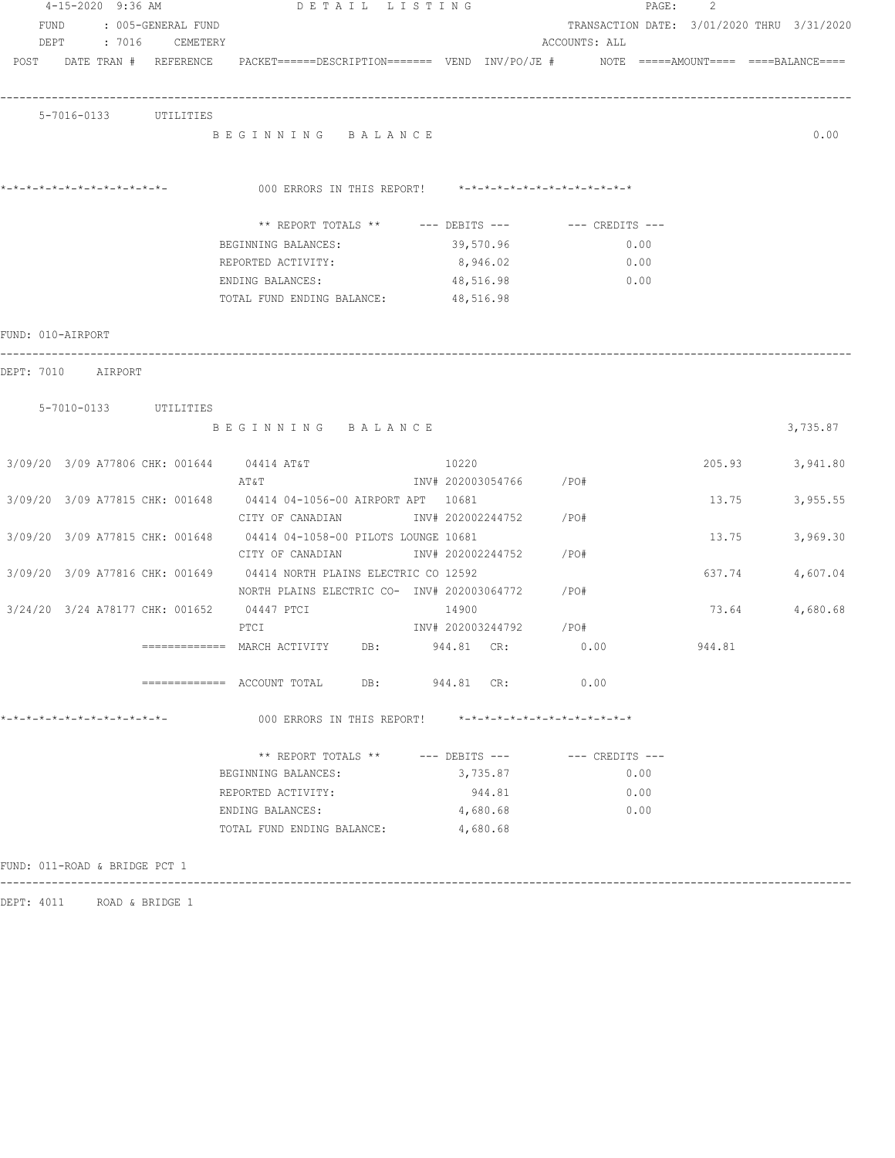|                               |  |                            | 4-15-2020 9:36 AM DETAIL LISTING                                                                                          |           |                        |               |             |      | PAGE: 2                                    |          |
|-------------------------------|--|----------------------------|---------------------------------------------------------------------------------------------------------------------------|-----------|------------------------|---------------|-------------|------|--------------------------------------------|----------|
| FUND                          |  | : 005-GENERAL FUND         |                                                                                                                           |           |                        |               |             |      | TRANSACTION DATE: 3/01/2020 THRU 3/31/2020 |          |
|                               |  | DEPT : 7016 CEMETERY       |                                                                                                                           |           |                        | ACCOUNTS: ALL |             |      |                                            |          |
|                               |  | POST DATE TRAN # REFERENCE | PACKET======DESCRIPTION======= VEND INV/PO/JE # NOTE =====AMOUNT==== ====BALANCE====                                      |           |                        |               |             |      |                                            |          |
|                               |  |                            |                                                                                                                           |           |                        |               |             |      |                                            |          |
|                               |  | 5-7016-0133 UTILITIES      |                                                                                                                           |           |                        |               |             |      |                                            |          |
|                               |  |                            | BEGINNING BALANCE                                                                                                         |           |                        |               |             |      |                                            | 0.00     |
|                               |  |                            |                                                                                                                           |           |                        |               |             |      |                                            |          |
|                               |  |                            |                                                                                                                           |           |                        |               |             |      |                                            |          |
| *-*-*-*-*-*-*-*-*-*-*-*-*-*-  |  |                            | 000 ERRORS IN THIS REPORT! $*-*-*-*-*-*-*-*-*-*-*-*-*-*-**$                                                               |           |                        |               |             |      |                                            |          |
|                               |  |                            | ** REPORT TOTALS ** --- DEBITS --- -- CREDITS ---                                                                         |           |                        |               |             |      |                                            |          |
|                               |  |                            | BEGINNING BALANCES: 39,570.96                                                                                             |           |                        |               | 0.00        |      |                                            |          |
|                               |  |                            | REPORTED ACTIVITY:                                                                                                        |           | 8,946.02               |               | 0.00        |      |                                            |          |
|                               |  |                            | ENDING BALANCES:                                                                                                          | 48,516.98 |                        |               | $\sim 0.00$ |      |                                            |          |
|                               |  |                            | TOTAL FUND ENDING BALANCE: 48,516.98                                                                                      |           |                        |               |             |      |                                            |          |
|                               |  |                            |                                                                                                                           |           |                        |               |             |      |                                            |          |
| FUND: 010-AIRPORT             |  |                            |                                                                                                                           |           |                        |               |             |      |                                            |          |
| DEPT: 7010 AIRPORT            |  |                            |                                                                                                                           |           |                        |               |             |      |                                            |          |
|                               |  |                            |                                                                                                                           |           |                        |               |             |      |                                            |          |
|                               |  | 5-7010-0133 UTILITIES      |                                                                                                                           |           |                        |               |             |      |                                            |          |
|                               |  |                            | BEGINNING BALANCE                                                                                                         |           |                        |               |             |      |                                            | 3,735.87 |
|                               |  |                            |                                                                                                                           |           |                        |               |             |      |                                            |          |
|                               |  |                            | 3/09/20 3/09 A77806 CHK: 001644 04414 AT&T                                                                                | 10220     |                        |               |             |      | 205.93                                     | 3,941.80 |
|                               |  |                            | AT&T                                                                                                                      |           | INV# 202003054766 /PO# |               |             |      |                                            |          |
|                               |  |                            | 3/09/20 3/09 A77815 CHK: 001648 04414 04-1056-00 AIRPORT APT 10681                                                        |           |                        |               |             |      | 13.75                                      | 3,955.55 |
|                               |  |                            | CITY OF CANADIAN                                                                                                          |           | INV# 202002244752 /PO# |               |             |      |                                            |          |
|                               |  |                            | 3/09/20 3/09 A77815 CHK: 001648 04414 04-1058-00 PILOTS LOUNGE 10681                                                      |           |                        |               |             |      | 13.75                                      | 3,969.30 |
|                               |  |                            | CITY OF CANADIAN                                                                                                          |           | INV# 202002244752 /PO# |               |             |      |                                            |          |
|                               |  |                            | 3/09/20 3/09 A77816 CHK: 001649 04414 NORTH PLAINS ELECTRIC CO 12592<br>NORTH PLAINS ELECTRIC CO- INV# 202003064772 / PO# |           |                        |               |             |      | 637.74                                     | 4,607.04 |
|                               |  |                            | 3/24/20 3/24 A78177 CHK: 001652 04447 PTCI                                                                                | 14900     |                        |               |             |      | 73.64                                      | 4,680.68 |
|                               |  |                            | PTCI                                                                                                                      |           | INV# 202003244792 /PO# |               |             |      |                                            |          |
|                               |  |                            | $\overline{\phantom{X}}$ ============= MARCH ACTIVITY DB: 944.81 CR:                                                      |           |                        | 0.00          |             |      | 944.81                                     |          |
|                               |  |                            |                                                                                                                           |           |                        |               |             |      |                                            |          |
|                               |  |                            | ============= ACCOUNT TOTAL DB: 944.81 CR:                                                                                |           |                        | 0.00          |             |      |                                            |          |
|                               |  |                            |                                                                                                                           |           |                        |               |             |      |                                            |          |
| *-*-*-*-*-*-*-*-*-*-*-*-*-*-  |  |                            | 000 ERRORS IN THIS REPORT! *-*-*-*-*-*-*-*-*-*-*-*-*-*-                                                                   |           |                        |               |             |      |                                            |          |
|                               |  |                            | ** REPORT TOTALS ** --- DEBITS --- -- -- CREDITS ---                                                                      |           |                        |               |             |      |                                            |          |
|                               |  |                            | BEGINNING BALANCES:                                                                                                       |           | 3,735.87               |               |             | 0.00 |                                            |          |
|                               |  |                            | REPORTED ACTIVITY:                                                                                                        |           | 944.81                 |               |             | 0.00 |                                            |          |
|                               |  |                            | ENDING BALANCES:                                                                                                          |           | 4,680.68               |               |             | 0.00 |                                            |          |
|                               |  |                            | TOTAL FUND ENDING BALANCE:                                                                                                |           | 4,680.68               |               |             |      |                                            |          |
|                               |  |                            |                                                                                                                           |           |                        |               |             |      |                                            |          |
| FUND: 011-ROAD & BRIDGE PCT 1 |  |                            |                                                                                                                           |           |                        |               |             |      |                                            |          |
|                               |  |                            |                                                                                                                           |           |                        |               |             |      |                                            |          |

DEPT: 4011 ROAD & BRIDGE 1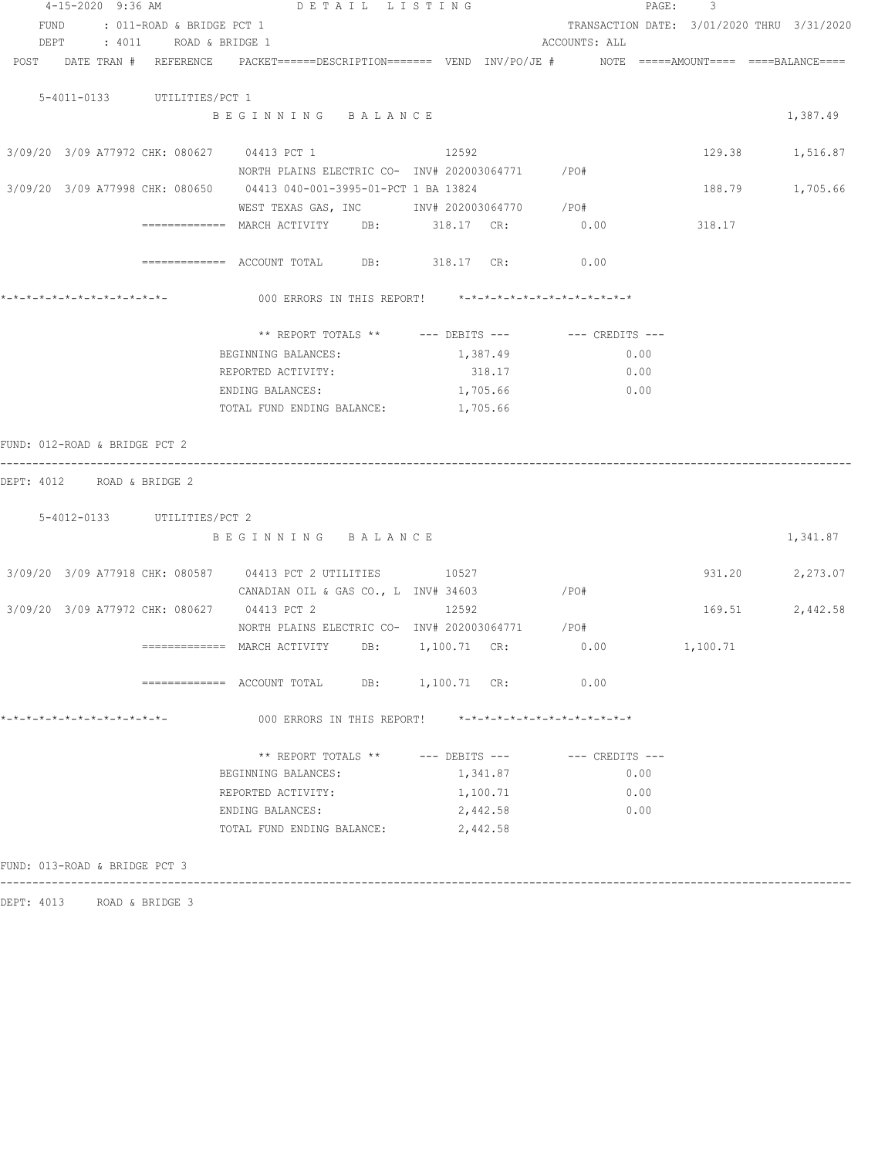|                                                                                                                 | 4-15-2020 9:36 AM DETAIL LISTING                                          |          |                                            | PAGE: 3         |          |
|-----------------------------------------------------------------------------------------------------------------|---------------------------------------------------------------------------|----------|--------------------------------------------|-----------------|----------|
| FUND<br>: 011-ROAD & BRIDGE PCT 1                                                                               |                                                                           |          | TRANSACTION DATE: 3/01/2020 THRU 3/31/2020 |                 |          |
| DEPT : 4011 ROAD & BRIDGE 1                                                                                     |                                                                           |          | ACCOUNTS: ALL                              |                 |          |
| POST DATE TRAN # REFERENCE PACKET======DESCRIPTION======= VEND INV/PO/JE # NOTE =====AMOUNT==== ====BALANCE==== |                                                                           |          |                                            |                 |          |
|                                                                                                                 |                                                                           |          |                                            |                 |          |
| 5-4011-0133 UTILITIES/PCT 1                                                                                     |                                                                           |          |                                            |                 |          |
|                                                                                                                 | BEGINNING BALANCE                                                         |          |                                            |                 | 1,387.49 |
|                                                                                                                 |                                                                           |          |                                            |                 |          |
| 3/09/20 3/09 A77972 CHK: 080627 04413 PCT 1                                                                     |                                                                           | 12592    |                                            | 129.38 1,516.87 |          |
|                                                                                                                 | NORTH PLAINS ELECTRIC CO- INV# 202003064771 / PO#                         |          |                                            |                 |          |
| 3/09/20 3/09 A77998 CHK: 080650 04413 040-001-3995-01-PCT 1 BA 13824                                            |                                                                           |          |                                            | 188.79          | 1,705.66 |
|                                                                                                                 | WEST TEXAS GAS, INC MONTH 202003064770 / PO#                              |          |                                            |                 |          |
|                                                                                                                 | ============ MARCH ACTIVITY DB: 318.17 CR: 0.00                           |          |                                            | 318.17          |          |
|                                                                                                                 |                                                                           |          |                                            |                 |          |
|                                                                                                                 | ============ ACCOUNT TOTAL DB: 318.17 CR: 0.00                            |          |                                            |                 |          |
|                                                                                                                 |                                                                           |          |                                            |                 |          |
|                                                                                                                 | 000 ERRORS IN THIS REPORT! *-*-*-*-*-*-*-*-*-*-*-*-*-*-                   |          |                                            |                 |          |
|                                                                                                                 |                                                                           |          |                                            |                 |          |
|                                                                                                                 | ** REPORT TOTALS ** --- DEBITS --- -- CREDITS ---                         |          |                                            |                 |          |
|                                                                                                                 | BEGINNING BALANCES:                                                       | 1,387.49 | 0.00                                       |                 |          |
|                                                                                                                 | REPORTED ACTIVITY:                                                        | 318.17   | 0.00                                       |                 |          |
|                                                                                                                 | ENDING BALANCES:                                                          | 1,705.66 | 0.00                                       |                 |          |
|                                                                                                                 | TOTAL FUND ENDING BALANCE:                                                | 1,705.66 |                                            |                 |          |
|                                                                                                                 |                                                                           |          |                                            |                 |          |
| FUND: 012-ROAD & BRIDGE PCT 2                                                                                   |                                                                           |          |                                            |                 |          |
|                                                                                                                 |                                                                           |          |                                            |                 |          |
| DEPT: 4012 ROAD & BRIDGE 2                                                                                      |                                                                           |          |                                            |                 |          |
|                                                                                                                 |                                                                           |          |                                            |                 |          |
| 5-4012-0133 UTILITIES/PCT 2                                                                                     |                                                                           |          |                                            |                 |          |
|                                                                                                                 | BEGINNING BALANCE                                                         |          |                                            |                 | 1,341.87 |
|                                                                                                                 |                                                                           |          |                                            |                 |          |
| 3/09/20 3/09 A77918 CHK: 080587 04413 PCT 2 UTILITIES 10527                                                     |                                                                           |          |                                            | 931.20 2,273.07 |          |
|                                                                                                                 | CANADIAN OIL & GAS CO., L INV# 34603                                      |          | /PO#                                       |                 |          |
| 3/09/20 3/09 A77972 CHK: 080627 04413 PCT 2                                                                     |                                                                           | 12592    |                                            | 169.51          | 2,442.58 |
|                                                                                                                 | NORTH PLAINS ELECTRIC CO- INV# 202003064771 / PO#                         |          |                                            |                 |          |
|                                                                                                                 | $\texttt{-----}$ ============= MARCH ACTIVITY DB: $\texttt{1,100.71}$ CR: |          | 0.00                                       | 1,100.71        |          |
|                                                                                                                 |                                                                           |          |                                            |                 |          |
|                                                                                                                 | ============= ACCOUNT TOTAL DB: 1,100.71 CR:                              |          | 0.00                                       |                 |          |
|                                                                                                                 |                                                                           |          |                                            |                 |          |
| *-*-*-*-*-*-*-*-*-*-*-*-*-*-                                                                                    | 000 ERRORS IN THIS REPORT! *-*-*-*-*-*-*-*-*-*-*-*-*-*-                   |          |                                            |                 |          |
|                                                                                                                 |                                                                           |          |                                            |                 |          |
|                                                                                                                 | ** REPORT TOTALS ** --- DEBITS --- -- -- CREDITS ---                      |          |                                            |                 |          |
|                                                                                                                 | BEGINNING BALANCES:                                                       | 1,341.87 | 0.00                                       |                 |          |
|                                                                                                                 | REPORTED ACTIVITY:                                                        | 1,100.71 | 0.00                                       |                 |          |
|                                                                                                                 | ENDING BALANCES:                                                          | 2,442.58 | 0.00                                       |                 |          |
|                                                                                                                 | TOTAL FUND ENDING BALANCE:                                                | 2,442.58 |                                            |                 |          |
|                                                                                                                 |                                                                           |          |                                            |                 |          |
| FUND: 013-ROAD & BRIDGE PCT 3                                                                                   |                                                                           |          |                                            |                 |          |
|                                                                                                                 |                                                                           |          |                                            |                 |          |

DEPT: 4013 ROAD & BRIDGE 3